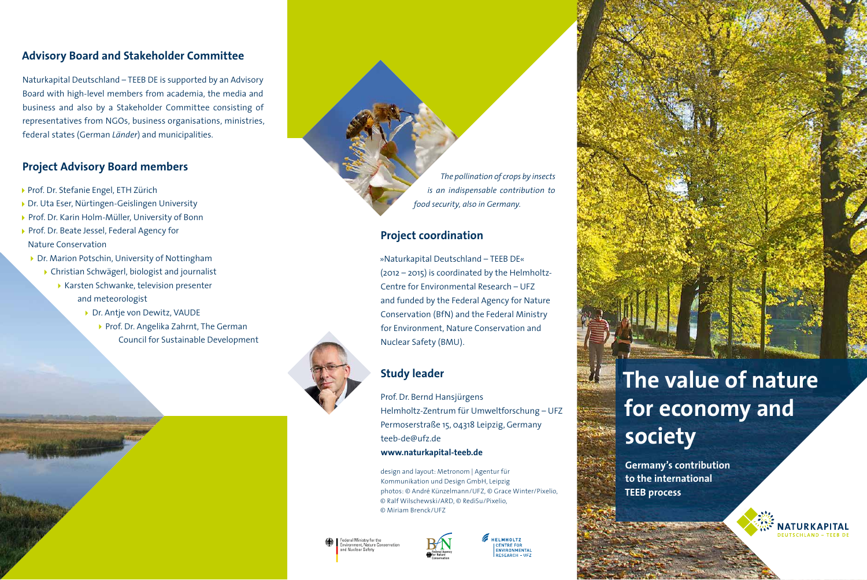### **Advisory Board and Stakeholder Committee**

Naturkapital Deutschland – TEEB DE is supported by an Advisory Board with high-level members from academia, the media and business and also by a Stakeholder Committee consisting of representatives from NGOs, business organisations, ministries, federal states (German *Länder*) and municipalities.

## **Project Advisory Board members**

- ▶ Prof. Dr. Stefanie Engel, ETH Zürich
- ▶ Dr. Uta Eser, Nürtingen-Geislingen University
- ▶ Prof. Dr. Karin Holm-Müller, University of Bonn
- Prof. Dr. Beate Jessel, Federal Agency for Nature Conservation
	- ▶ Dr. Marion Potschin, University of Nottingham
		- Christian Schwägerl, biologist and journalist
		- ▶ Karsten Schwanke, television presenter and meteorologist
			- ▶ Dr. Antje von Dewitz, VAUDE
				- ▶ Prof. Dr. Angelika Zahrnt, The German Council for Sustainable Development



## **Project coordination**

»Naturkapital Deutschland – TEEB DE« (2012 – 2015) is coordinated by the Helmholtz-Centre for Environmental Research – UFZ and funded by the Federal Agency for Nature Conservation (BfN) and the Federal Ministry for Environment, Nature Conservation and Nuclear Safety (BMU).



# **Study leader**

Prof. Dr. Bernd Hansjürgens Helmholtz-Zentrum für Umweltforschung – UFZ Permoserstraße 15, 04318 Leipzig, Germany teeb-de@ufz.de **www.naturkapital-teeb.de**

design and layout: Metronom | Agentur für Kommunikation und Design GmbH, Leipzig photos: © André Künzelmann/UFZ, © Grace Winter/Pixelio, © Ralf Wilschewski/ARD, © RediSu/Pixelio, © Miriam Brenck/UFZ





**HELMHOLTZ** CENTRE FOR ENVIRONMENTAL

# **The value of nature for economy and society**

**Germany's contribution to the international TEEB process**